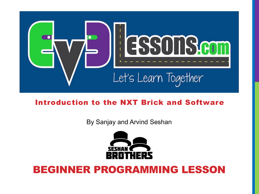

#### Introduction to the NXT Brick and Software

By Sanjay and Arvind Seshan



#### BEGINNER PROGRAMMING LESSON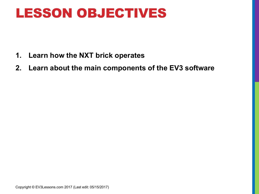### LESSON OBJECTIVES

- **1. Learn how the NXT brick operates**
- **2. Learn about the main components of the EV3 software**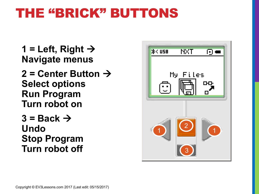## THE "BRICK" BUTTONS

1 = Left, Right  $\rightarrow$ **Navigate menus 2 = Center Button** à **Select options Run Program Turn robot on**  $3 =$  Back  $\rightarrow$ **Undo Stop Program Turn robot off**

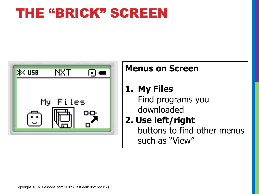### THE "BRICK" SCREEN



#### **Menus on Screen**

**1. My Files** Find programs you downloaded

#### **2. Use left/right**  buttons to find other menus such as "View"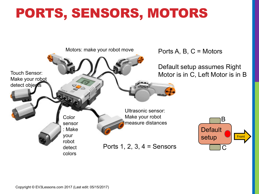# PORTS, SENSORS, MOTORS

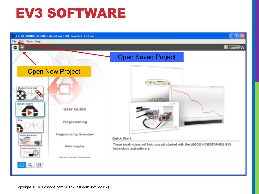### EV3 SOFTWARE

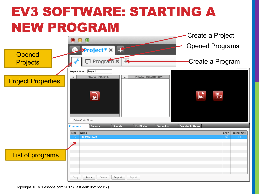# EV3 SOFTWARE: STARTING A NEW PROGRAM

|                           |                                                                                                                                                                               | Create a Project                                       |
|---------------------------|-------------------------------------------------------------------------------------------------------------------------------------------------------------------------------|--------------------------------------------------------|
| Opened                    | $\bullet$<br>$\blacktriangleright$ Project * $\times$ $\blacktriangleright$<br>Ð.                                                                                             | <b>Opened Programs</b>                                 |
| <b>Projects</b>           | $\Box$ Program $\times$<br>$\blacktriangleright$                                                                                                                              | Create a Program                                       |
| <b>Project Properties</b> | Project<br><b>Project Title:</b><br>$1\,$<br><b>PROJECT PICTURE</b><br>$\mathbf{2}$<br>PROJECT DESCRIPTION<br>$\bullet$<br>Daisy-Chain Mode                                   | <b>eg</b><br>$\bullet$                                 |
| List of programs          | <b>My Blocks</b><br><b>Variables</b><br><b>Sounds</b><br><b>Images</b><br><b>Programs</b><br>Name<br>Type<br>Program.ev3p<br>⊡<br>Delete<br>Export<br>Paste<br>Import<br>Copy | <b>Exportable Items</b><br>Show Teacher Only<br>Ø<br>∩ |

Copyright © EV3Lessons.com 2017 (Last edit: 05/15/2017)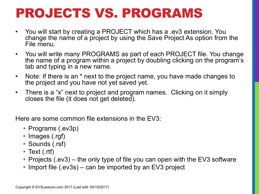# PROJECTS VS. PROGRAMS

- You will start by creating a PROJECT which has a .ev3 extension. You change the name of a project by using the Save Project As option from the File menu.
- You will write many PROGRAMS as part of each PROJECT file. You change the name of a program within a project by doubling clicking on the program's tab and typing in a new name.
- Note: If there is an \* next to the project name, you have made changes to the project and you have not yet saved yet.
- There is a "x" next to project and program names. Clicking on it simply closes the file (it does not get deleted).

Here are some common file extensions in the EV3:

- Programs (.ev3p)
- Images (.rgf)
- Sounds (.rsf)
- Text (.rtf)
- Projects (.ev3) the only type of file you can open with the EV3 software
- Import file (.ev3s) can be imported by an EV3 project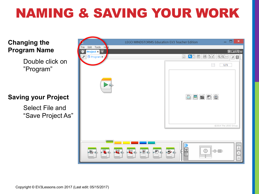# NAMING & SAVING YOUR WORK

#### **Changing the Program Name**

Double click on "Program"

#### **Saving your Project**

Select File and "Save Project As"

|                                                      | LEGO MINDSTORMS Education EV3 Teacher Edition                                                                                                                                                                                                                                                                       | $\pmb{\times}$<br>▭                  |
|------------------------------------------------------|---------------------------------------------------------------------------------------------------------------------------------------------------------------------------------------------------------------------------------------------------------------------------------------------------------------------|--------------------------------------|
| File Edit Tools Hep<br>Project <b>x</b><br>$\bullet$ |                                                                                                                                                                                                                                                                                                                     | LabVIEW                              |
| $\Box$ Program $\times$<br>$\boldsymbol{r}$          | $\begin{array}{ c c }\hline \textbf{k} & \textbf{0} & \textbf{0}\end{array}$<br>900<br>▣                                                                                                                                                                                                                            | $Q^2$ $Q^3$ 1:1<br>$\sqrt[n]{\circ}$ |
|                                                      | $\boxed{\triangle}$                                                                                                                                                                                                                                                                                                 | 1/1                                  |
|                                                      | $\begin{tabular}{ c c c c c } \hline \quad \quad & \quad \quad & \quad \quad & \quad \quad \\ \hline \quad \quad & \quad \quad & \quad \quad & \quad \quad \\ \hline \quad \quad & \quad \quad & \quad \quad & \quad \quad \\ \hline \quad \quad & \quad \quad & \quad \quad & \quad \quad \\ \hline \end{tabular}$ |                                      |
|                                                      |                                                                                                                                                                                                                                                                                                                     | ©2014 The LEGO Group.                |
| $\bullet$                                            | Q<br><u> HIIIIIIII</u><br><u> HIIIIIII</u><br>口田<br>$\oplus$<br>$\bullet$<br>$\sqrt{2}$<br>$\bullet$<br>$-o$                                                                                                                                                                                                        | EN O                                 |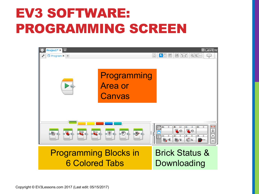# EV3 SOFTWARE: PROGRAMMING SCREEN

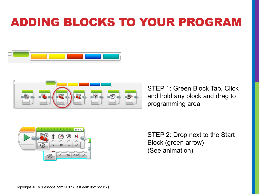### ADDING BLOCKS TO YOUR PROGRAM





STEP 1: Green Block Tab, Click and hold any block and drag to programming area



STEP 2: Drop next to the Start Block (green arrow) (See animation)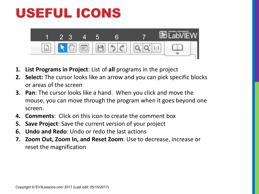# USEFUL ICONS



- **1.** List Programs in Project: List of all programs in the project
- **2.** Select: The cursor looks like an arrow and you can pick specific blocks or areas of the screen
- **3. Pan:** The cursor looks like a hand. When you click and move the mouse, you can move through the program when it goes beyond one screen.
- **4. Comments:** Click on this icon to create the comment box
- **5. Save Project:** Save the current version of your project
- **6. Undo and Redo:** Undo or redo the last actions
- **7. Zoom Out, Zoom In, and Reset Zoom**: Use to decrease, increase or reset the magnification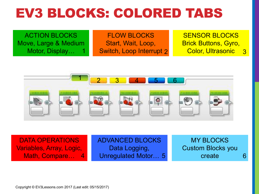## EV3 BLOCKS: COLORED TABS

ACTION BLOCKS Move, Large & Medium Motor, Display… FLOW BLOCKS Start, Wait, Loop, 1 Switch, Loop Interrupt 2 Color, Ultrasonic 3 SENSOR BLOCKS Brick Buttons, Gyro, Color, Ultrasonic



DATA OPERATIONS Variables, Array, Logic, Math, Compare... 4

ADVANCED BLOCKS Data Logging, 4 Unregulated Motor... 5 **6 create** 6

MY BLOCKS Custom Blocks you create